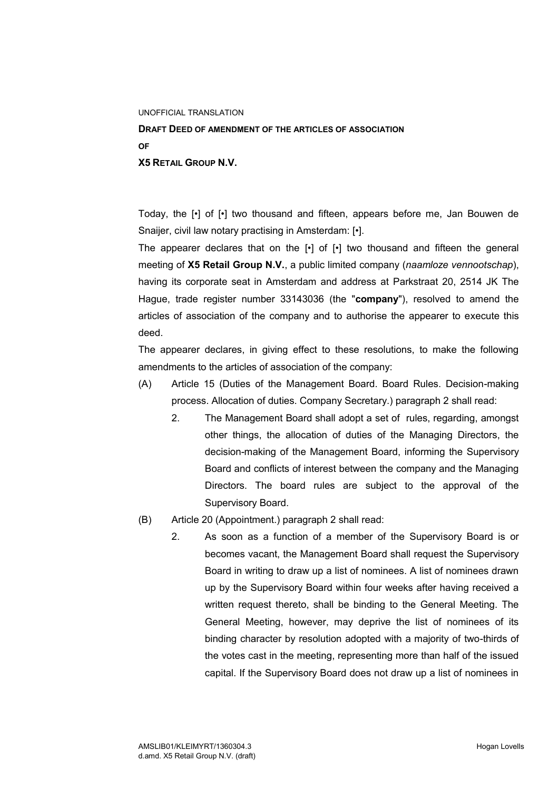## UNOFFICIAL TRANSLATION

**DRAFT DEED OF AMENDMENT OF THE ARTICLES OF ASSOCIATION OF X5 RETAIL GROUP N.V.**

Today, the [•] of [•] two thousand and fifteen, appears before me, Jan Bouwen de Snaijer, civil law notary practising in Amsterdam: [•].

The appearer declares that on the  $\lceil \cdot \rceil$  of  $\lceil \cdot \rceil$  two thousand and fifteen the general meeting of **X5 Retail Group N.V.**, a public limited company (*naamloze vennootschap*), having its corporate seat in Amsterdam and address at Parkstraat 20, 2514 JK The Hague, trade register number 33143036 (the "**company**"), resolved to amend the articles of association of the company and to authorise the appearer to execute this deed.

The appearer declares, in giving effect to these resolutions, to make the following amendments to the articles of association of the company:

- (A) Article 15 (Duties of the Management Board. Board Rules. Decision-making process. Allocation of duties. Company Secretary.) paragraph 2 shall read:
	- 2. The Management Board shall adopt a set of rules, regarding, amongst other things, the allocation of duties of the Managing Directors, the decision-making of the Management Board, informing the Supervisory Board and conflicts of interest between the company and the Managing Directors. The board rules are subject to the approval of the Supervisory Board.
- (B) Article 20 (Appointment.) paragraph 2 shall read:
	- 2. As soon as a function of a member of the Supervisory Board is or becomes vacant, the Management Board shall request the Supervisory Board in writing to draw up a list of nominees. A list of nominees drawn up by the Supervisory Board within four weeks after having received a written request thereto, shall be binding to the General Meeting. The General Meeting, however, may deprive the list of nominees of its binding character by resolution adopted with a majority of two-thirds of the votes cast in the meeting, representing more than half of the issued capital. If the Supervisory Board does not draw up a list of nominees in